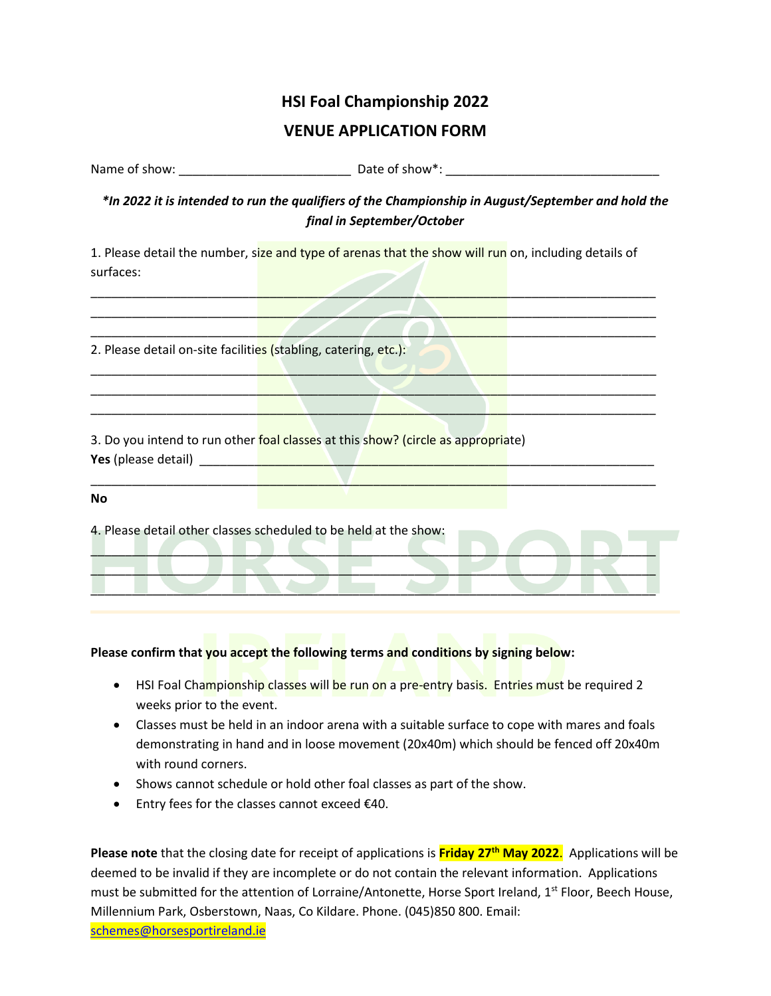## **HSI Foal Championship 2022**

## **VENUE APPLICATION FORM**

Name of show: example and the state of show  $\mathbb{R}$  Date of show  $\mathbb{R}$ :

*\*In 2022 it is intended to run the qualifiers of the Championship in August/September and hold the final in September/October*

1. Please detail the number, size and type of arenas that the show will run on, including details of surfaces:

\_\_\_\_\_\_\_\_\_\_\_\_\_\_\_\_\_\_\_\_\_\_\_\_\_\_\_\_\_\_\_\_\_\_\_\_\_\_\_\_\_\_\_\_\_\_\_\_\_\_\_\_\_\_\_\_\_\_\_\_\_\_\_\_\_\_\_\_\_\_\_\_\_\_\_\_\_\_\_\_\_\_ \_\_\_\_\_\_\_\_\_\_\_\_\_\_\_\_\_\_\_\_\_\_\_\_\_\_\_\_\_\_\_\_\_\_\_\_\_\_\_\_\_\_\_\_\_\_\_\_\_\_\_\_\_\_\_\_\_\_\_\_\_\_\_\_\_\_\_\_\_\_\_\_\_\_\_\_\_\_\_\_\_\_ \_\_\_\_\_\_\_\_\_\_\_\_\_\_\_\_\_\_\_\_\_\_\_\_\_\_\_\_\_\_\_\_\_\_\_\_\_\_\_\_\_\_\_\_\_\_\_\_\_\_\_\_\_\_\_\_\_\_\_\_\_\_\_\_\_\_\_\_\_\_\_\_\_\_\_\_\_\_\_\_\_\_

\_\_\_\_\_\_\_\_\_\_\_\_\_\_\_\_\_\_\_\_\_\_\_\_\_\_\_\_\_\_\_\_\_\_\_\_\_\_\_\_\_\_\_\_\_\_\_\_\_\_\_\_\_\_\_\_\_\_\_\_\_\_\_\_\_\_\_\_\_\_\_\_\_\_\_\_\_\_\_\_\_\_ \_\_\_\_\_\_\_\_\_\_\_\_\_\_\_\_\_\_\_\_\_\_\_\_\_\_\_\_\_\_\_\_\_\_\_\_\_\_\_\_\_\_\_\_\_\_\_\_\_\_\_\_\_\_\_\_\_\_\_\_\_\_\_\_\_\_\_\_\_\_\_\_\_\_\_\_\_\_\_\_\_\_ \_\_\_\_\_\_\_\_\_\_\_\_\_\_\_\_\_\_\_\_\_\_\_\_\_\_\_\_\_\_\_\_\_\_\_\_\_\_\_\_\_\_\_\_\_\_\_\_\_\_\_\_\_\_\_\_\_\_\_\_\_\_\_\_\_\_\_\_\_\_\_\_\_\_\_\_\_\_\_\_\_\_

2. Please detail on-site facilities (stabling, catering, etc.):

3. Do you intend to run other foal classes at this show? (circle as appropriate) **Yes** (please detail) \_\_\_\_\_\_\_\_\_\_\_\_\_\_\_\_\_\_\_\_\_\_\_\_\_\_\_\_\_\_\_\_\_\_\_\_\_\_\_\_\_\_\_\_\_\_\_\_\_\_\_\_\_\_\_\_\_\_\_\_\_\_\_\_\_\_

| No |                                                                  |  |
|----|------------------------------------------------------------------|--|
|    | 4. Please detail other classes scheduled to be held at the show: |  |
|    |                                                                  |  |

\_\_\_\_\_\_\_\_\_\_\_\_\_\_\_\_\_\_\_\_\_\_\_\_\_\_\_\_\_\_\_\_\_\_\_\_\_\_\_\_\_\_\_\_\_\_\_\_\_\_\_\_\_\_\_\_\_\_\_\_\_\_\_\_\_\_\_\_\_\_\_\_\_\_\_\_\_\_\_\_\_\_

## **Please confirm that you accept the following terms and conditions by signing below:**

- HSI Foal Championship classes will be run on a pre-entry basis. Entries must be required 2 weeks prior to the event.
- Classes must be held in an indoor arena with a suitable surface to cope with mares and foals demonstrating in hand and in loose movement (20x40m) which should be fenced off 20x40m with round corners.
- Shows cannot schedule or hold other foal classes as part of the show.
- Entry fees for the classes cannot exceed €40.

**Please note** that the closing date for receipt of applications is **Friday 27 th May 2022**. Applications will be deemed to be invalid if they are incomplete or do not contain the relevant information. Applications must be submitted for the attention of Lorraine/Antonette, Horse Sport Ireland, 1<sup>st</sup> Floor, Beech House, Millennium Park, Osberstown, Naas, Co Kildare. Phone. (045)850 800. Email: [schemes@horsesportireland.ie](mailto:schemes@horsesportireland.ie)